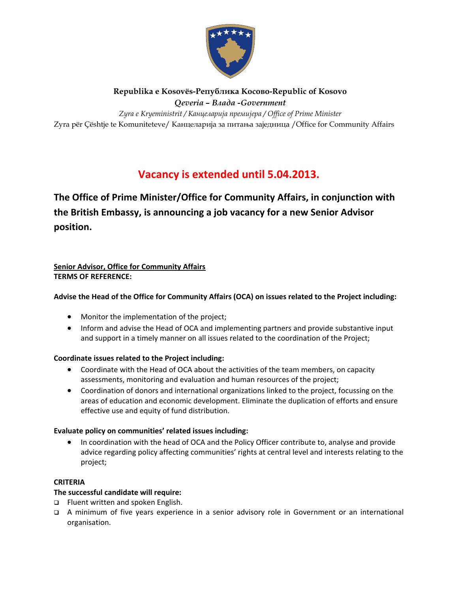

# **Republika e Kosovës-Република Косовo-Republic of Kosovo**

*Qeveria – Bлада -Government* 

Zyra për Çështje te Komuniteteve/ Канцеларија за питања заједница /Office for Community Affairs *Zyra e Kryeministrit / Канцеларија премијера / Office of Prime Minister* 

## **Vacancy is extended until 5.04.2013.**

**The Office of Prime Minister/Office for Community Affairs, in conjunction with the British Embassy, is announcing a job vacancy for a new Senior Advisor position.** 

#### **Senior Advisor, Office for Community Affairs TERMS OF REFERENCE:**

## **Advise the Head of the Office for Community Affairs (OCA) on issues related to the Project including:**

- Monitor the implementation of the project;
- Inform and advise the Head of OCA and implementing partners and provide substantive input and support in a timely manner on all issues related to the coordination of the Project;

## **Coordinate issues related to the Project including:**

- Coordinate with the Head of OCA about the activities of the team members, on capacity assessments, monitoring and evaluation and human resources of the project;
- Coordination of donors and international organizations linked to the project, focussing on the areas of education and economic development. Eliminate the duplication of efforts and ensure effective use and equity of fund distribution.

## **Evaluate policy on communities' related issues including:**

• In coordination with the head of OCA and the Policy Officer contribute to, analyse and provide advice regarding policy affecting communities' rights at central level and interests relating to the project;

## **CRITERIA**

## **The successful candidate will require:**

- □ Fluent written and spoken English.
- A minimum of five years experience in a senior advisory role in Government or an international organisation.